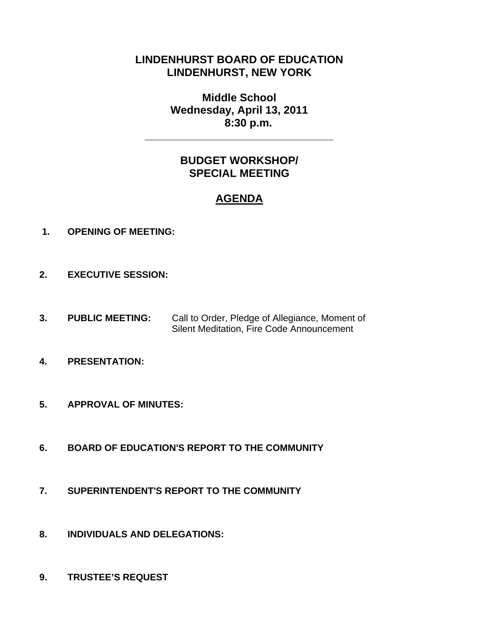# **LINDENHURST BOARD OF EDUCATION LINDENHURST, NEW YORK**

**Middle School Wednesday, April 13, 2011 8:30 p.m.** 

**\_\_\_\_\_\_\_\_\_\_\_\_\_\_\_\_\_\_\_\_\_\_\_\_\_\_\_\_\_\_\_** 

# **BUDGET WORKSHOP/ SPECIAL MEETING**

# **AGENDA**

- **1. OPENING OF MEETING:**
- **2. EXECUTIVE SESSION:**
- **3. PUBLIC MEETING:** Call to Order, Pledge of Allegiance, Moment of Silent Meditation, Fire Code Announcement
- **4. PRESENTATION:**
- **5. APPROVAL OF MINUTES:**
- **6. BOARD OF EDUCATION'S REPORT TO THE COMMUNITY**
- **7. SUPERINTENDENT'S REPORT TO THE COMMUNITY**
- **8. INDIVIDUALS AND DELEGATIONS:**
- **9. TRUSTEE'S REQUEST**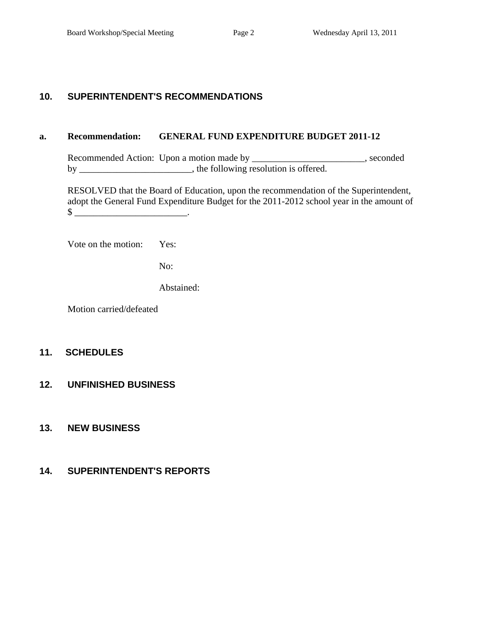## **10. SUPERINTENDENT'S RECOMMENDATIONS**

#### **a. Recommendation: GENERAL FUND EXPENDITURE BUDGET 2011-12**

Recommended Action: Upon a motion made by \_\_\_\_\_\_\_\_\_\_\_\_\_\_\_\_\_\_\_\_\_\_\_, seconded by \_\_\_\_\_\_\_\_\_\_\_\_\_\_\_\_\_\_\_\_\_, the following resolution is offered.

 RESOLVED that the Board of Education, upon the recommendation of the Superintendent, adopt the General Fund Expenditure Budget for the 2011-2012 school year in the amount of  $\mathbb{S}$   $\blacksquare$ 

Vote on the motion: Yes:

No:

Abstained:

Motion carried/defeated

### **11. SCHEDULES**

#### **12. UNFINISHED BUSINESS**

## **13. NEW BUSINESS**

### **14. SUPERINTENDENT'S REPORTS**